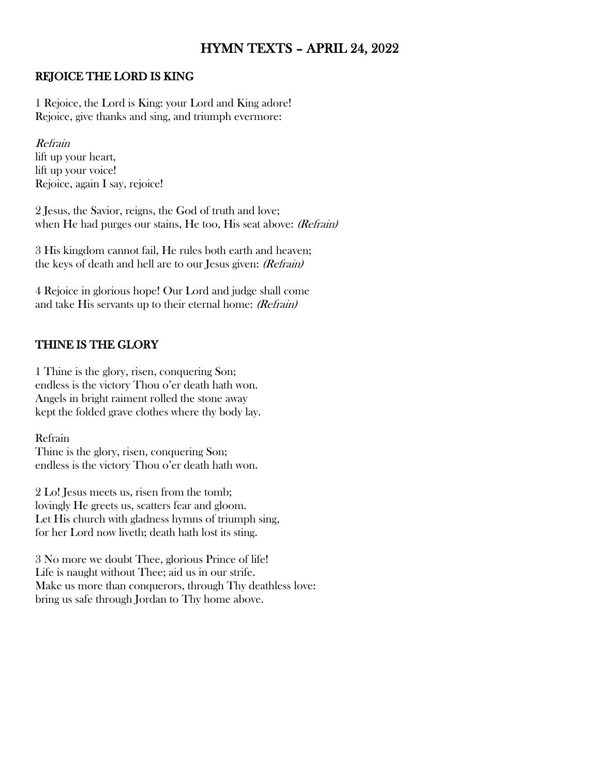# HYMN TEXTS – APRIL 24, 2022

### REJOICE THE LORD IS KING

1 Rejoice, the Lord is King: your Lord and King adore! Rejoice, give thanks and sing, and triumph evermore:

Refrain lift up your heart, lift up your voice! Rejoice, again I say, rejoice!

2 Jesus, the Savior, reigns, the God of truth and love; when He had purges our stains, He too, His seat above: (Refrain)

3 His kingdom cannot fail, He rules both earth and heaven; the keys of death and hell are to our Jesus given: (Refrain)

4 Rejoice in glorious hope! Our Lord and judge shall come and take His servants up to their eternal home: (Refrain)

## THINE IS THE GLORY

1 Thine is the glory, risen, conquering Son; endless is the victory Thou o'er death hath won. Angels in bright raiment rolled the stone away kept the folded grave clothes where thy body lay.

Refrain Thine is the glory, risen, conquering Son; endless is the victory Thou o'er death hath won.

2 Lo! Jesus meets us, risen from the tomb; lovingly He greets us, scatters fear and gloom. Let His church with gladness hymns of triumph sing, for her Lord now liveth; death hath lost its sting.

3 No more we doubt Thee, glorious Prince of life! Life is naught without Thee; aid us in our strife. Make us more than conquerors, through Thy deathless love: bring us safe through Jordan to Thy home above.